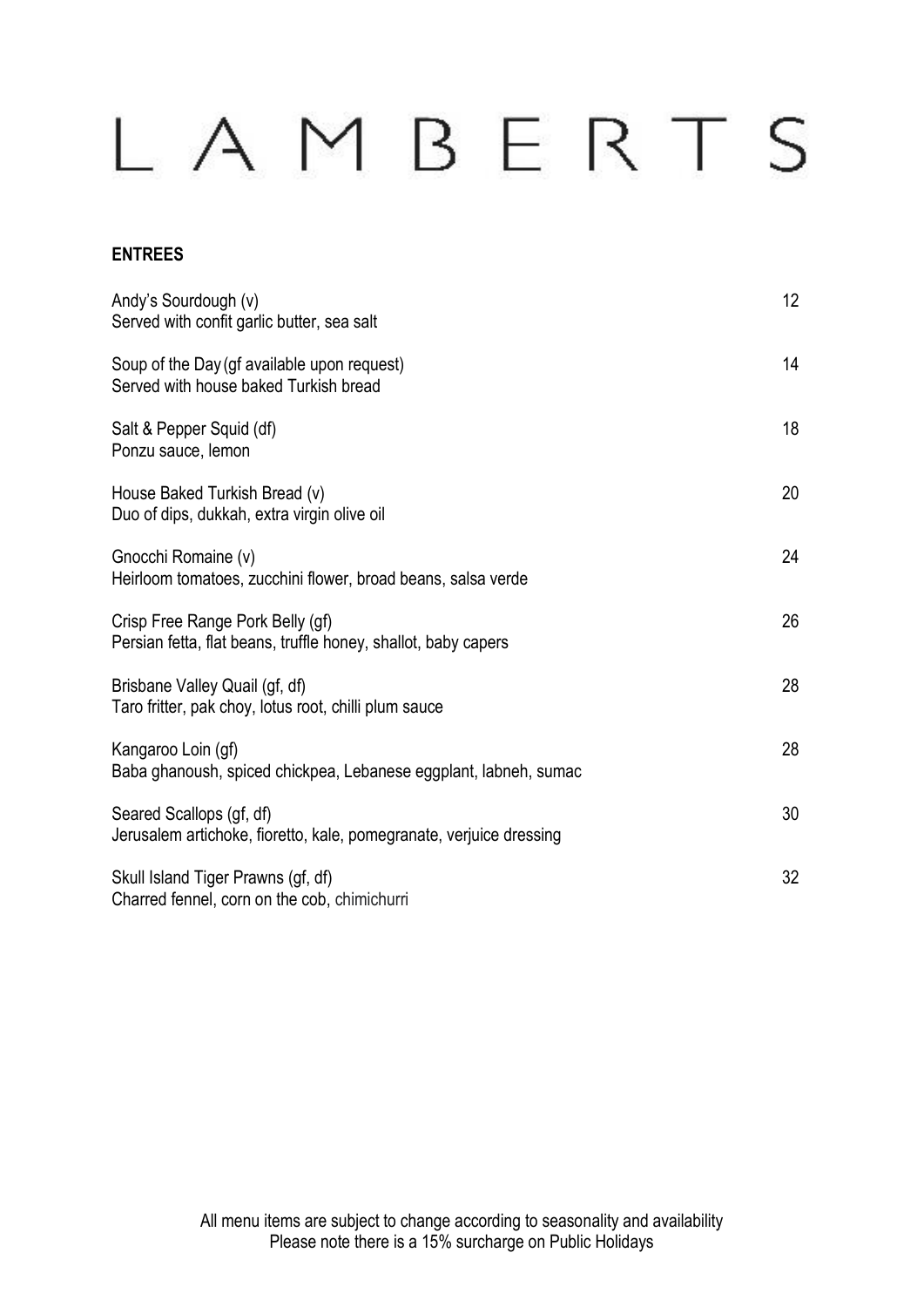### **ENTREES**

| Andy's Sourdough (v)<br>Served with confit garlic butter, sea salt                                 | 12 |
|----------------------------------------------------------------------------------------------------|----|
| Soup of the Day (gf available upon request)<br>Served with house baked Turkish bread               | 14 |
| Salt & Pepper Squid (df)<br>Ponzu sauce, lemon                                                     | 18 |
| House Baked Turkish Bread (v)<br>Duo of dips, dukkah, extra virgin olive oil                       | 20 |
| Gnocchi Romaine (v)<br>Heirloom tomatoes, zucchini flower, broad beans, salsa verde                | 24 |
| Crisp Free Range Pork Belly (gf)<br>Persian fetta, flat beans, truffle honey, shallot, baby capers | 26 |
| Brisbane Valley Quail (gf, df)<br>Taro fritter, pak choy, lotus root, chilli plum sauce            | 28 |
| Kangaroo Loin (gf)<br>Baba ghanoush, spiced chickpea, Lebanese eggplant, labneh, sumac             | 28 |
| Seared Scallops (gf, df)<br>Jerusalem artichoke, fioretto, kale, pomegranate, verjuice dressing    | 30 |
| Skull Island Tiger Prawns (gf, df)<br>Charred fennel, corn on the cob, chimichurri                 | 32 |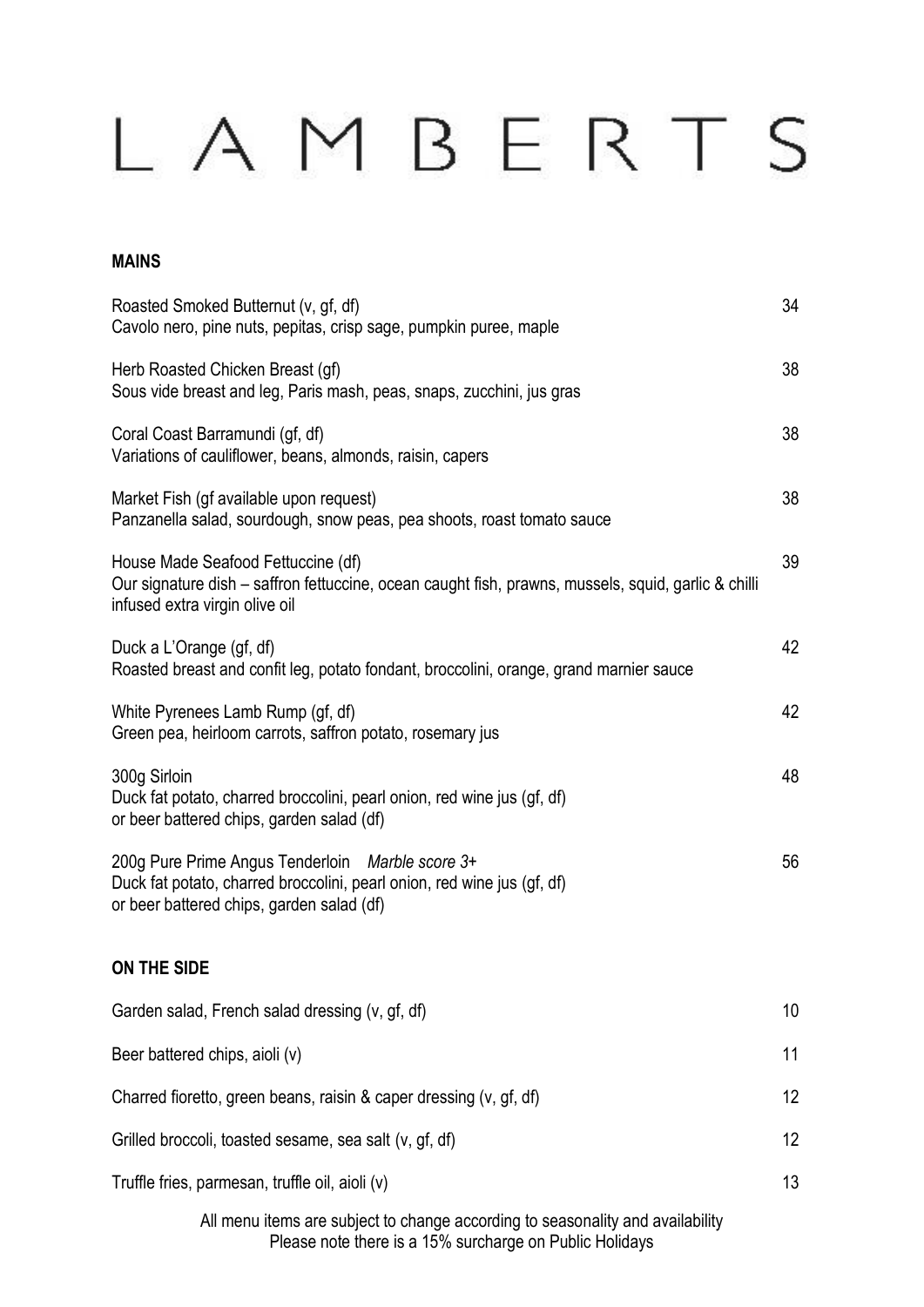#### **MAINS**

| Roasted Smoked Butternut (v, gf, df)<br>Cavolo nero, pine nuts, pepitas, crisp sage, pumpkin puree, maple                                                                   | 34 |
|-----------------------------------------------------------------------------------------------------------------------------------------------------------------------------|----|
| Herb Roasted Chicken Breast (gf)<br>Sous vide breast and leg, Paris mash, peas, snaps, zucchini, jus gras                                                                   | 38 |
| Coral Coast Barramundi (gf, df)<br>Variations of cauliflower, beans, almonds, raisin, capers                                                                                | 38 |
| Market Fish (gf available upon request)<br>Panzanella salad, sourdough, snow peas, pea shoots, roast tomato sauce                                                           | 38 |
| House Made Seafood Fettuccine (df)<br>Our signature dish – saffron fettuccine, ocean caught fish, prawns, mussels, squid, garlic & chilli<br>infused extra virgin olive oil | 39 |
| Duck a L'Orange (gf, df)<br>Roasted breast and confit leg, potato fondant, broccolini, orange, grand marnier sauce                                                          | 42 |
| White Pyrenees Lamb Rump (gf, df)<br>Green pea, heirloom carrots, saffron potato, rosemary jus                                                                              | 42 |
| 300g Sirloin<br>Duck fat potato, charred broccolini, pearl onion, red wine jus (gf, df)<br>or beer battered chips, garden salad (df)                                        | 48 |
| 200g Pure Prime Angus Tenderloin Marble score 3+<br>Duck fat potato, charred broccolini, pearl onion, red wine jus (gf, df)<br>or beer battered chips, garden salad (df)    | 56 |
| ON THE SIDE                                                                                                                                                                 |    |
| Garden salad, French salad dressing (v, gf, df)                                                                                                                             | 10 |
| Beer battered chips, aioli (v)                                                                                                                                              | 11 |
| Charred fioretto, green beans, raisin & caper dressing (v, gf, df)                                                                                                          | 12 |
| Grilled broccoli, toasted sesame, sea salt (v, gf, df)                                                                                                                      | 12 |
| Truffle fries, parmesan, truffle oil, aioli (v)                                                                                                                             | 13 |
| All menu items are subject to change according to seasonality and availability                                                                                              |    |

Please note there is a 15% surcharge on Public Holidays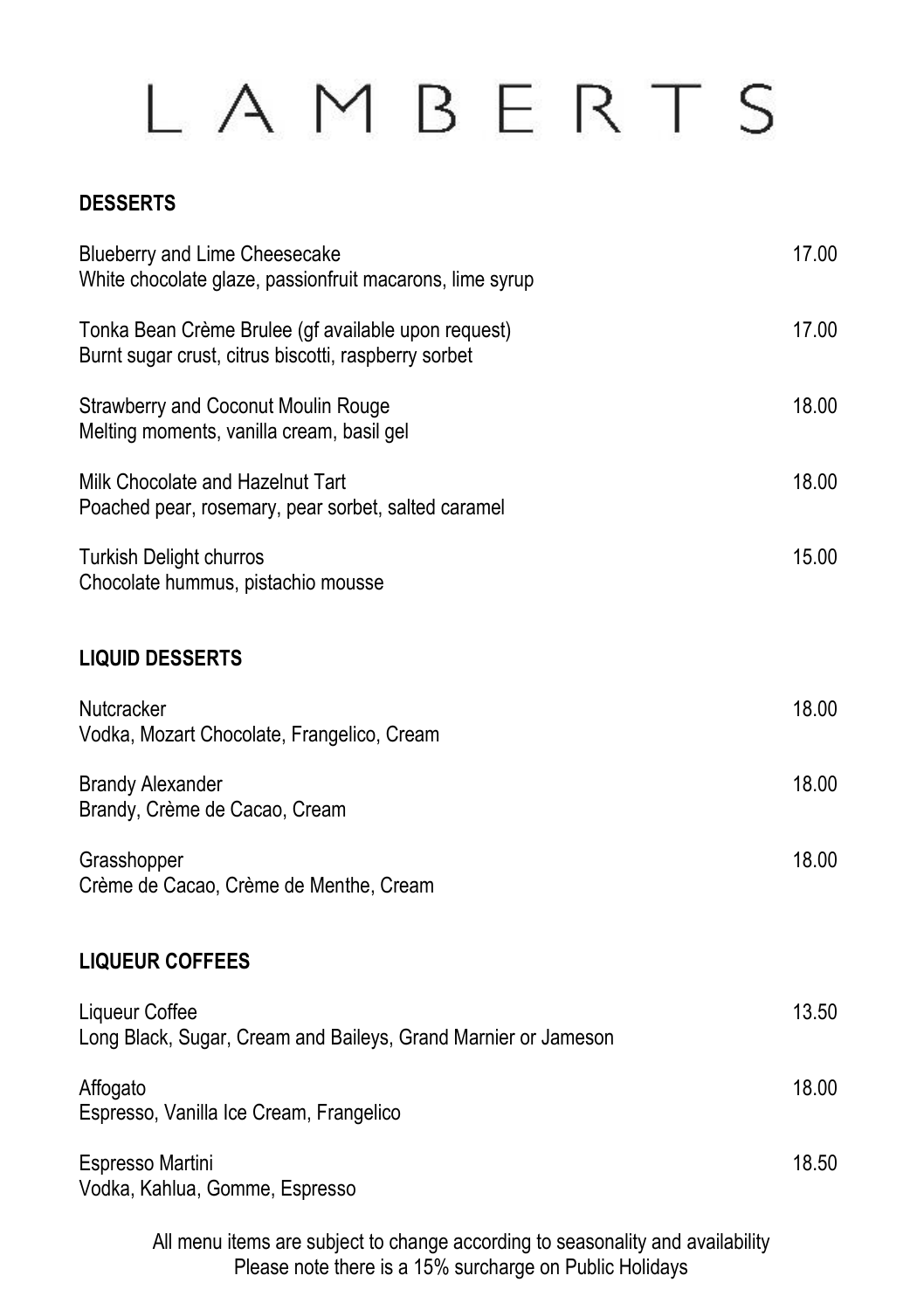#### **DESSERTS**

| Blueberry and Lime Cheesecake<br>White chocolate glaze, passionfruit macarons, lime syrup                   | 17.00 |
|-------------------------------------------------------------------------------------------------------------|-------|
| Tonka Bean Crème Brulee (gf available upon request)<br>Burnt sugar crust, citrus biscotti, raspberry sorbet | 17.00 |
| Strawberry and Coconut Moulin Rouge<br>Melting moments, vanilla cream, basil gel                            | 18.00 |
| Milk Chocolate and Hazelnut Tart<br>Poached pear, rosemary, pear sorbet, salted caramel                     | 18.00 |
| <b>Turkish Delight churros</b><br>Chocolate hummus, pistachio mousse                                        | 15.00 |
| <b>LIQUID DESSERTS</b>                                                                                      |       |
| Nutcracker<br>Vodka, Mozart Chocolate, Frangelico, Cream                                                    | 18.00 |
| <b>Brandy Alexander</b><br>Brandy, Crème de Cacao, Cream                                                    | 18.00 |
| Grasshopper<br>Crème de Cacao, Crème de Menthe, Cream                                                       | 18.00 |
| <b>LIQUEUR COFFEES</b>                                                                                      |       |
| Liqueur Coffee<br>Long Black, Sugar, Cream and Baileys, Grand Marnier or Jameson                            | 13.50 |
| Affogato<br>Espresso, Vanilla Ice Cream, Frangelico                                                         | 18.00 |
| Espresso Martini<br>Vodka, Kahlua, Gomme, Espresso                                                          | 18.50 |

All menu items are subject to change according to seasonality and availability Please note there is a 15% surcharge on Public Holidays